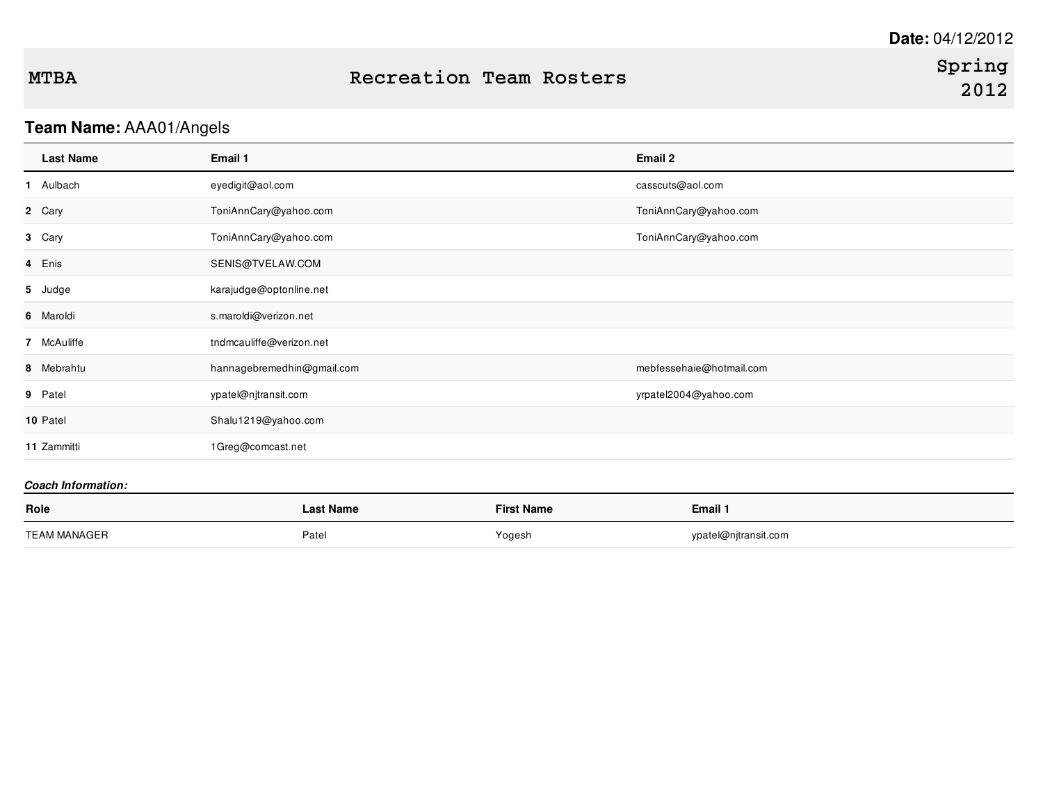## **Team Name:** AAA01/Angels

| Email 1                    | Email 2                  |
|----------------------------|--------------------------|
| eyedigit@aol.com           | casscuts@aol.com         |
| ToniAnnCary@yahoo.com      | ToniAnnCary@yahoo.com    |
| ToniAnnCary@yahoo.com      | ToniAnnCary@yahoo.com    |
| SENIS@TVELAW.COM           |                          |
| karajudge@optonline.net    |                          |
| s.maroldi@verizon.net      |                          |
| tndmcauliffe@verizon.net   |                          |
| hannagebremedhin@gmail.com | mebfessehaie@hotmail.com |
| ypatel@njtransit.com       | yrpatel2004@yahoo.com    |
| Shalu1219@yahoo.com        |                          |
| 1Greg@comcast.net          |                          |
|                            |                          |

| Role                | ast Name | <b>First Name</b> | Email 1              |
|---------------------|----------|-------------------|----------------------|
| <b>TEAM MANAGER</b> | Patel    | Yogesh            | ypatel@njtransit.com |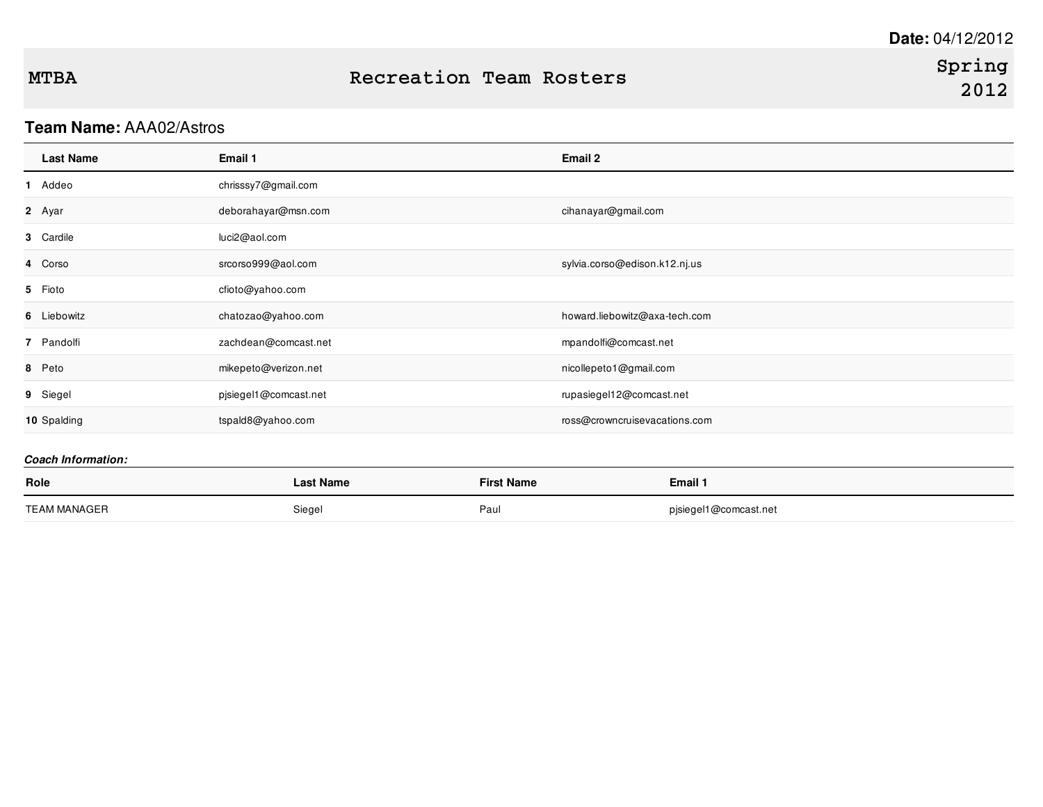## **Team Name:** AAA02/Astros

| <b>Last Name</b> | Email 1               | Email 2                       |
|------------------|-----------------------|-------------------------------|
| 1 Addeo          | chrisssy7@gmail.com   |                               |
| 2 Ayar           | deborahayar@msn.com   | cihanayar@gmail.com           |
| 3 Cardile        | luci2@aol.com         |                               |
| 4 Corso          | srcorso999@aol.com    | sylvia.corso@edison.k12.nj.us |
| 5 Fioto          | cfioto@yahoo.com      |                               |
| 6 Liebowitz      | chatozao@yahoo.com    | howard.liebowitz@axa-tech.com |
| 7 Pandolfi       | zachdean@comcast.net  | mpandolfi@comcast.net         |
| 8 Peto           | mikepeto@verizon.net  | nicollepeto1@gmail.com        |
| 9 Siegel         | pjsiegel1@comcast.net | rupasiegel12@comcast.net      |
| 10 Spalding      | tspald8@yahoo.com     | ross@crowncruisevacations.com |

| Role         | <b>Last Name</b> | <b>First Name</b> | <b>Email 1</b>        |
|--------------|------------------|-------------------|-----------------------|
| TEAM MANAGER | Siegel           | Paul              | pjsiegel1@comcast.net |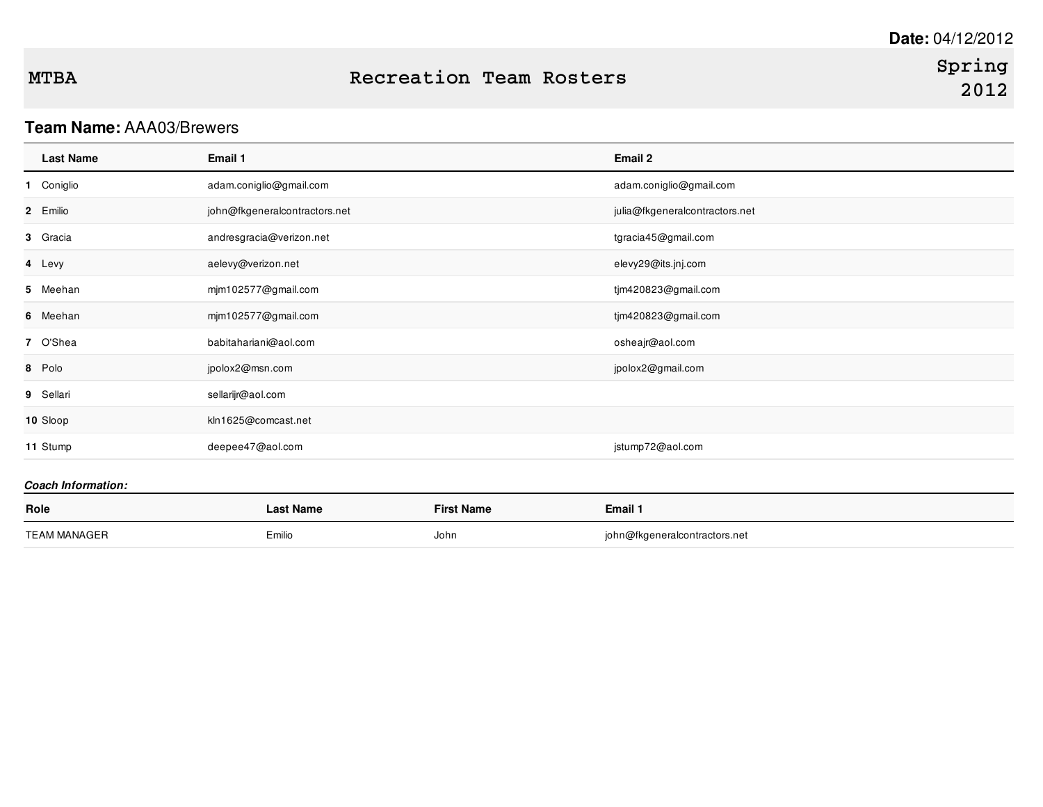## **Spring 2012**

### **Team Name:** AAA03/Brewers

| <b>Last Name</b> | Email 1                       | Email 2                        |
|------------------|-------------------------------|--------------------------------|
| Coniglio<br>1.   | adam.coniglio@gmail.com       | adam.coniglio@gmail.com        |
| 2 Emilio         | john@fkgeneralcontractors.net | julia@fkgeneralcontractors.net |
| 3 Gracia         | andresgracia@verizon.net      | tgracia45@gmail.com            |
| 4 Levy           | aelevy@verizon.net            | elevy29@its.jnj.com            |
| 5 Meehan         | mjm102577@gmail.com           | tjm420823@gmail.com            |
| 6 Meehan         | mjm102577@gmail.com           | tjm420823@gmail.com            |
| 7 O'Shea         | babitahariani@aol.com         | osheajr@aol.com                |
| 8 Polo           | jpolox2@msn.com               | jpolox2@gmail.com              |
| 9 Sellari        | sellarijr@aol.com             |                                |
| 10 Sloop         | kln1625@comcast.net           |                                |
| 11 Stump         | deepee47@aol.com              | jstump72@aol.com               |

| Role         | Last Name | <b>First Name</b> | Email 1                       |
|--------------|-----------|-------------------|-------------------------------|
| TEAM MANAGER | Emilio    | John              | john@fkgeneralcontractors.net |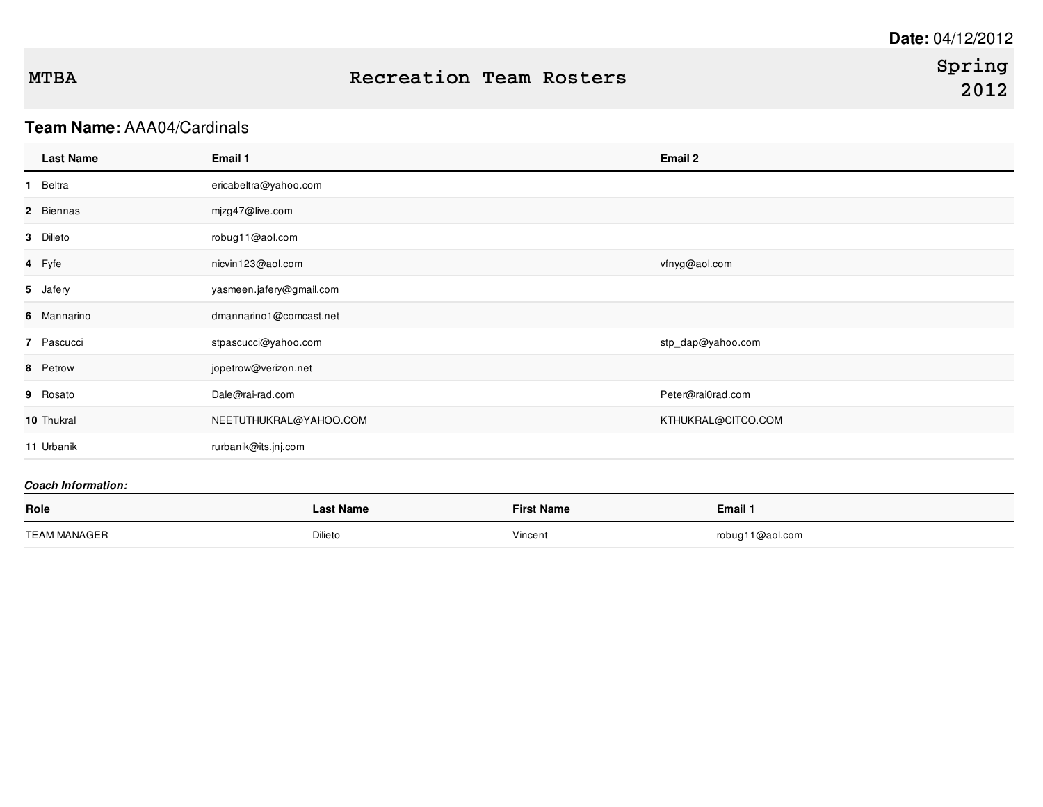## **Team Name:** AAA04/Cardinals

| <b>Last Name</b> | Email 1                  | Email 2            |
|------------------|--------------------------|--------------------|
| 1 Beltra         | ericabeltra@yahoo.com    |                    |
| 2 Biennas        | mjzg47@live.com          |                    |
| 3 Dilieto        | robug11@aol.com          |                    |
| 4 Fyfe           | nicvin123@aol.com        | vfnyg@aol.com      |
| 5 Jafery         | yasmeen.jafery@gmail.com |                    |
| 6 Mannarino      | dmannarino1@comcast.net  |                    |
| 7 Pascucci       | stpascucci@yahoo.com     | stp_dap@yahoo.com  |
| 8 Petrow         | jopetrow@verizon.net     |                    |
| 9 Rosato         | Dale@rai-rad.com         | Peter@rai0rad.com  |
| 10 Thukral       | NEETUTHUKRAL@YAHOO.COM   | KTHUKRAL@CITCO.COM |
| 11 Urbanik       | rurbanik@its.jnj.com     |                    |
|                  |                          |                    |

| Role         | Last Name | <b>First Name</b> | Email 1         |
|--------------|-----------|-------------------|-----------------|
| TEAM MANAGER | Dilieto   | Vincent           | robug11@aol.com |
|              |           |                   |                 |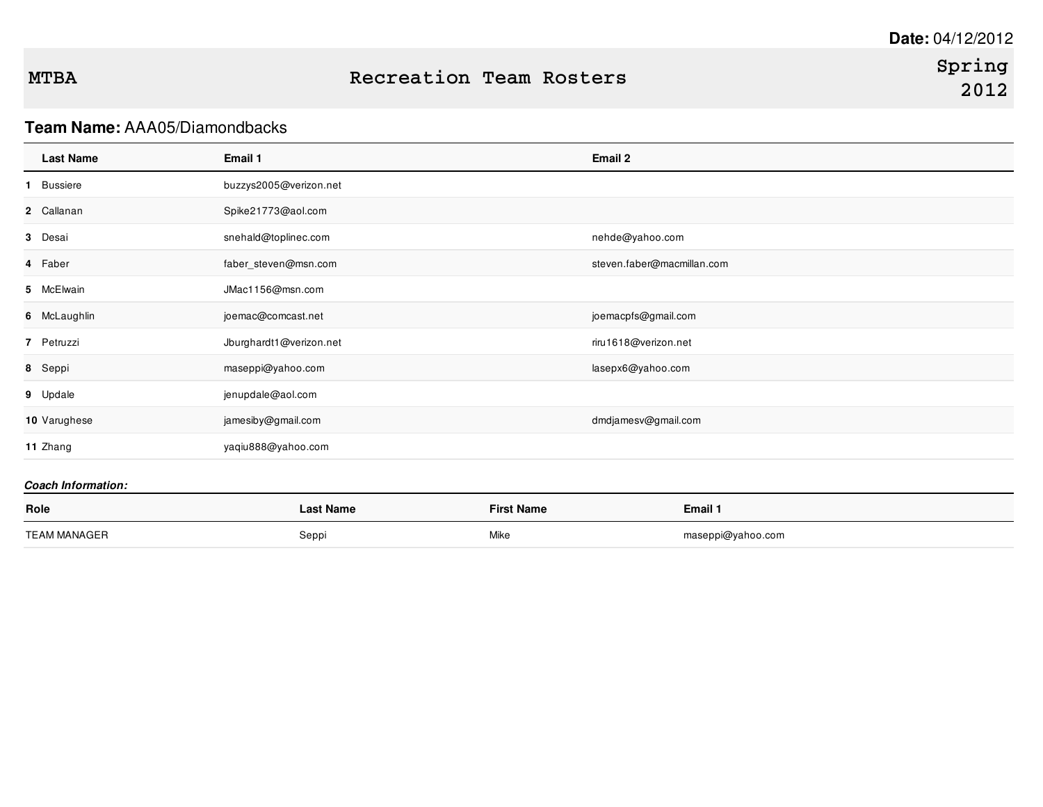### **Team Name:** AAA05/Diamondbacks

| <b>Last Name</b>         | Email 1                 | Email 2                    |
|--------------------------|-------------------------|----------------------------|
| Bussiere<br>$\mathbf{1}$ | buzzys2005@verizon.net  |                            |
| 2 Callanan               | Spike21773@aol.com      |                            |
| 3 Desai                  | snehald@toplinec.com    | nehde@yahoo.com            |
| 4 Faber                  | faber_steven@msn.com    | steven.faber@macmillan.com |
| 5 McElwain               | JMac1156@msn.com        |                            |
| 6 McLaughlin             | joemac@comcast.net      | joemacpfs@gmail.com        |
| 7 Petruzzi               | Jburghardt1@verizon.net | riru1618@verizon.net       |
| 8 Seppi                  | maseppi@yahoo.com       | lasepx6@yahoo.com          |
| 9 Updale                 | jenupdale@aol.com       |                            |
| 10 Varughese             | jamesiby@gmail.com      | dmdjamesv@gmail.com        |
| 11 Zhang                 | yaqiu888@yahoo.com      |                            |
|                          |                         |                            |

| Role         | <b>Last Name</b> | <b>First Name</b> | Email 1           |
|--------------|------------------|-------------------|-------------------|
| TEAM MANAGER | Seppi            | Mike              | maseppi@yahoo.com |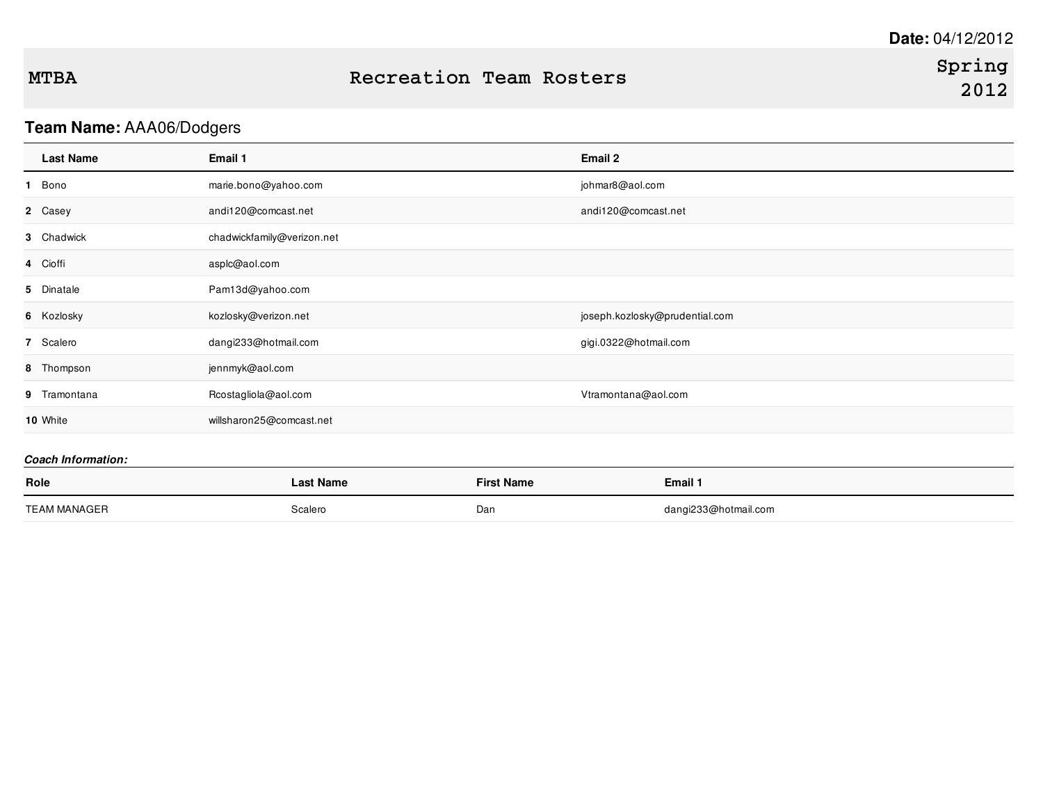## **Team Name:** AAA06/Dodgers

| <b>Last Name</b> | Email 1                    | Email 2                        |
|------------------|----------------------------|--------------------------------|
| 1 Bono           | marie.bono@yahoo.com       | johmar8@aol.com                |
| 2 Casey          | andi120@comcast.net        | andi120@comcast.net            |
| 3 Chadwick       | chadwickfamily@verizon.net |                                |
| 4 Cioffi         | asplc@aol.com              |                                |
| 5 Dinatale       | Pam13d@yahoo.com           |                                |
| 6 Kozlosky       | kozlosky@verizon.net       | joseph.kozlosky@prudential.com |
| 7 Scalero        | dangi233@hotmail.com       | gigi.0322@hotmail.com          |
| 8 Thompson       | jennmyk@aol.com            |                                |
| 9 Tramontana     | Rcostagliola@aol.com       | Vtramontana@aol.com            |
| 10 White         | willsharon25@comcast.net   |                                |
|                  |                            |                                |

| Role         | <b>Last Name</b> | <b>First Name</b> | Email 1              |
|--------------|------------------|-------------------|----------------------|
| TEAM MANAGER | Scalero          | Dan               | dangi233@hotmail.com |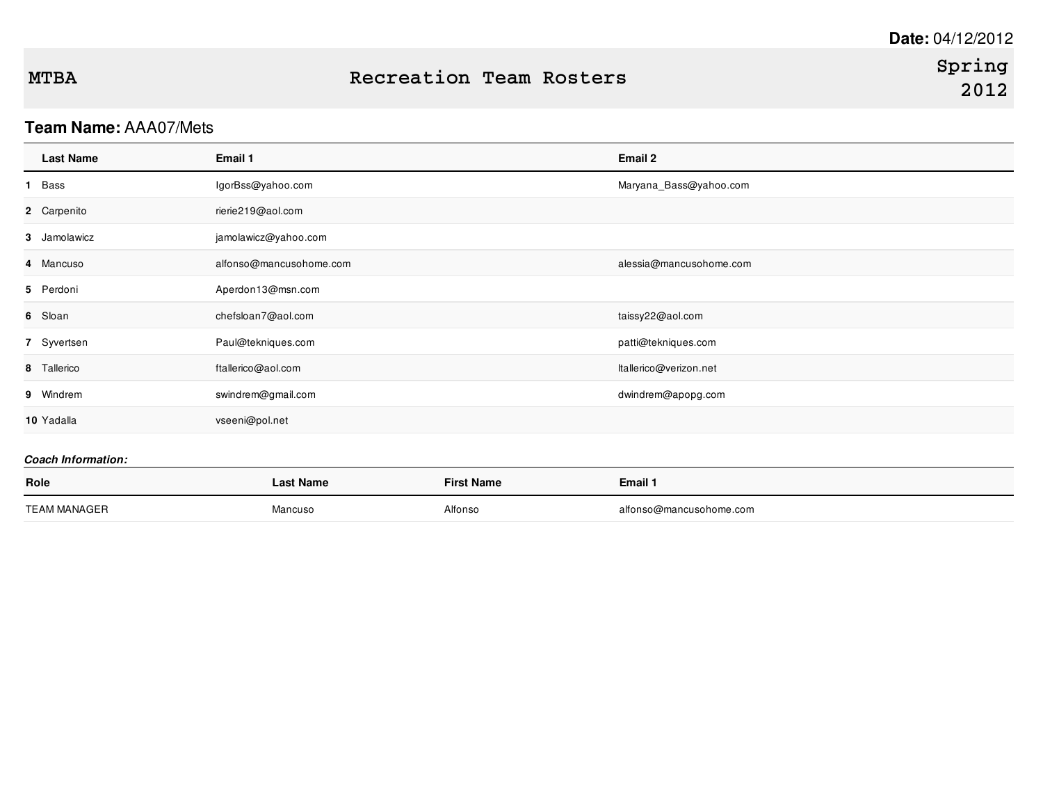## **Team Name:** AAA07/Mets

| <b>Last Name</b> | Email 1                 | Email 2                 |
|------------------|-------------------------|-------------------------|
| Bass<br>1.       | lgorBss@yahoo.com       | Maryana_Bass@yahoo.com  |
| 2 Carpenito      | rierie219@aol.com       |                         |
| 3 Jamolawicz     | jamolawicz@yahoo.com    |                         |
| 4 Mancuso        | alfonso@mancusohome.com | alessia@mancusohome.com |
| 5 Perdoni        | Aperdon13@msn.com       |                         |
| 6 Sloan          | chefsloan7@aol.com      | taissy22@aol.com        |
| 7 Syvertsen      | Paul@tekniques.com      | patti@tekniques.com     |
| 8 Tallerico      | ftallerico@aol.com      | Itallerico@verizon.net  |
| 9 Windrem        | swindrem@gmail.com      | dwindrem@apopg.com      |
| 10 Yadalla       | vseeni@pol.net          |                         |

| Role         | Last Name | <b>First Name</b> | Email 1                 |
|--------------|-----------|-------------------|-------------------------|
| TEAM MANAGER | Mancuso   | Alfonso           | alfonso@mancusohome.com |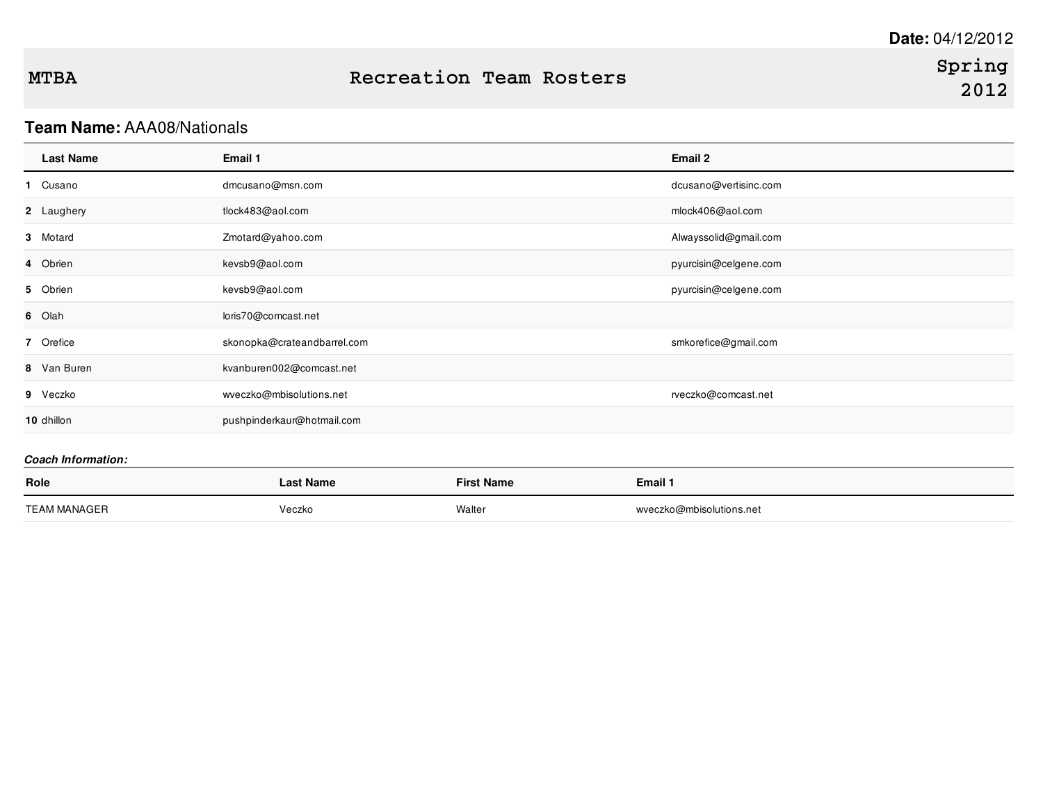# **Spring 2012**

### **Team Name:** AAA08/Nationals

| <b>Last Name</b>          | Email 1                     | Email 2               |
|---------------------------|-----------------------------|-----------------------|
| 1 Cusano                  | dmcusano@msn.com            | dcusano@vertisinc.com |
| 2 Laughery                | tlock483@aol.com            | mlock406@aol.com      |
| 3 Motard                  | Zmotard@yahoo.com           | Alwayssolid@gmail.com |
| 4 Obrien                  | kevsb9@aol.com              | pyurcisin@celgene.com |
| 5 Obrien                  | kevsb9@aol.com              | pyurcisin@celgene.com |
| 6 Olah                    | loris70@comcast.net         |                       |
| 7 Orefice                 | skonopka@crateandbarrel.com | smkorefice@gmail.com  |
| 8 Van Buren               | kvanburen002@comcast.net    |                       |
| 9 Veczko                  | wveczko@mbisolutions.net    | rveczko@comcast.net   |
| 10 dhillon                | pushpinderkaur@hotmail.com  |                       |
| <b>Coach Information:</b> |                             |                       |

| Role                | ∟ast Name | <b>First Name</b> | Email 1                  |
|---------------------|-----------|-------------------|--------------------------|
| <b>TEAM MANAGER</b> | Veczko    | Walter            | wveczko@mbisolutions.net |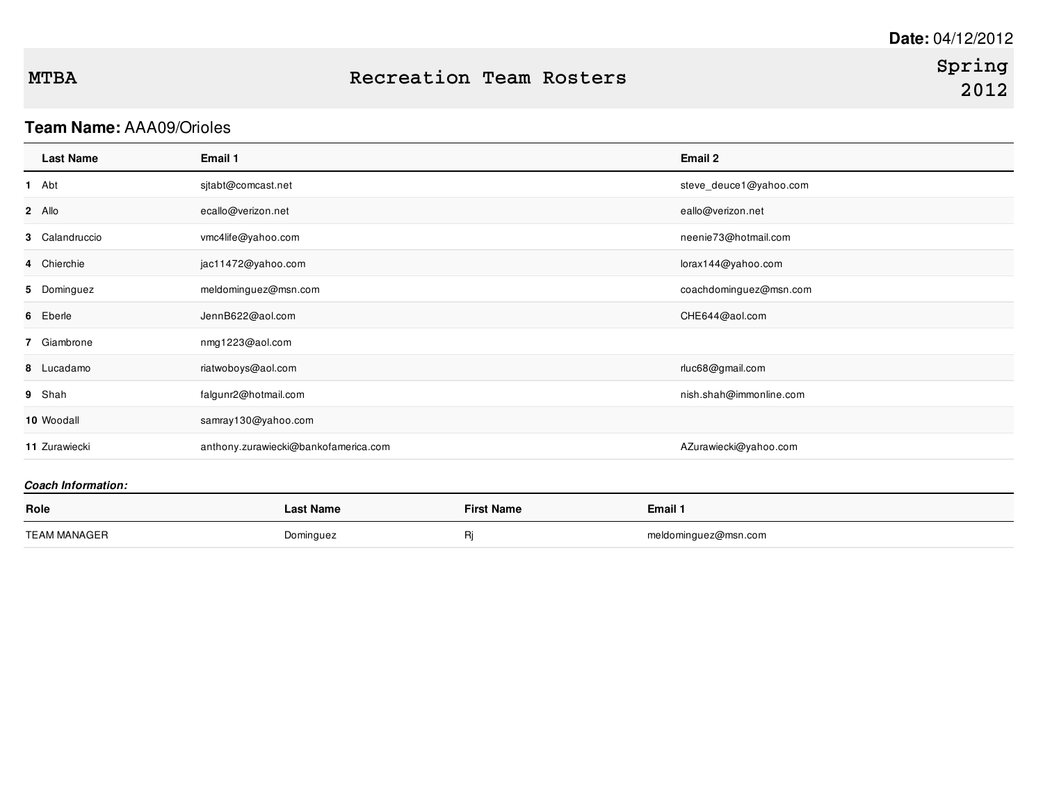# **Spring 2012**

## **Team Name:** AAA09/Orioles

| <b>Last Name</b> | Email 1                              | Email 2                 |
|------------------|--------------------------------------|-------------------------|
| 1 Abt            | sitabt@comcast.net                   | steve_deuce1@yahoo.com  |
| 2 Allo           | ecallo@verizon.net                   | eallo@verizon.net       |
| 3 Calandruccio   | vmc4life@yahoo.com                   | neenie73@hotmail.com    |
| 4 Chierchie      | jac11472@yahoo.com                   | lorax144@yahoo.com      |
| 5 Dominguez      | meldominguez@msn.com                 | coachdominguez@msn.com  |
| 6 Eberle         | JennB622@aol.com                     | CHE644@aol.com          |
| 7 Giambrone      | nmg1223@aol.com                      |                         |
| 8 Lucadamo       | riatwoboys@aol.com                   | rluc68@gmail.com        |
| 9 Shah           | falgunr2@hotmail.com                 | nish.shah@immonline.com |
| 10 Woodall       | samray130@yahoo.com                  |                         |
| 11 Zurawiecki    | anthony.zurawiecki@bankofamerica.com | AZurawiecki@yahoo.com   |
|                  |                                      |                         |

| Role         | Last Name | <b>First Name</b> | Email <sup>1</sup>   |
|--------------|-----------|-------------------|----------------------|
| TEAM MANAGER | Dominguez |                   | meldominguez@msn.com |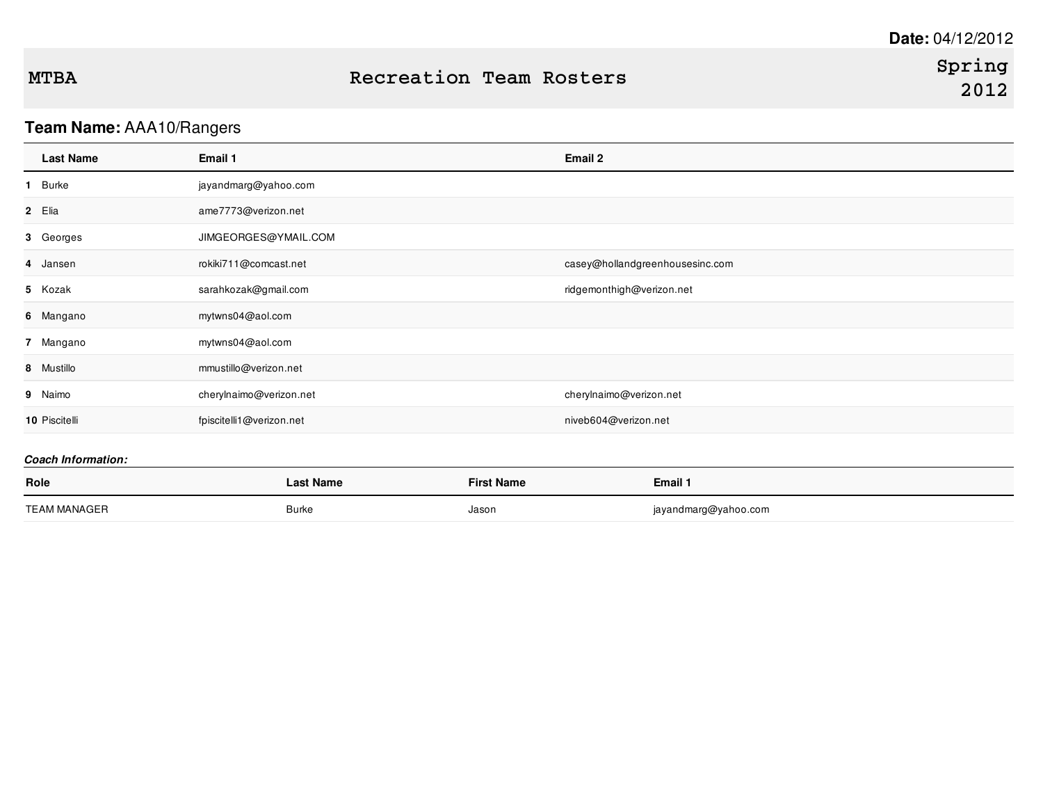## **Team Name:** AAA10/Rangers

| <b>Last Name</b> | Email 1                  | Email 2                         |
|------------------|--------------------------|---------------------------------|
| 1 Burke          | jayandmarg@yahoo.com     |                                 |
| 2 Elia           | ame7773@verizon.net      |                                 |
| 3 Georges        | JIMGEORGES@YMAIL.COM     |                                 |
| 4 Jansen         | rokiki711@comcast.net    | casey@hollandgreenhousesinc.com |
| 5 Kozak          | sarahkozak@gmail.com     | ridgemonthigh@verizon.net       |
| 6 Mangano        | mytwns04@aol.com         |                                 |
| 7 Mangano        | mytwns04@aol.com         |                                 |
| 8 Mustillo       | mmustillo@verizon.net    |                                 |
| 9 Naimo          | cherylnaimo@verizon.net  | cherylnaimo@verizon.net         |
| 10 Piscitelli    | fpiscitelli1@verizon.net | niveb604@verizon.net            |

| Role                | Last Name | <b>First Name</b> | Email 1              |
|---------------------|-----------|-------------------|----------------------|
| <b>TEAM MANAGER</b> | Burke     | Jason             | jayandmarg@yahoo.com |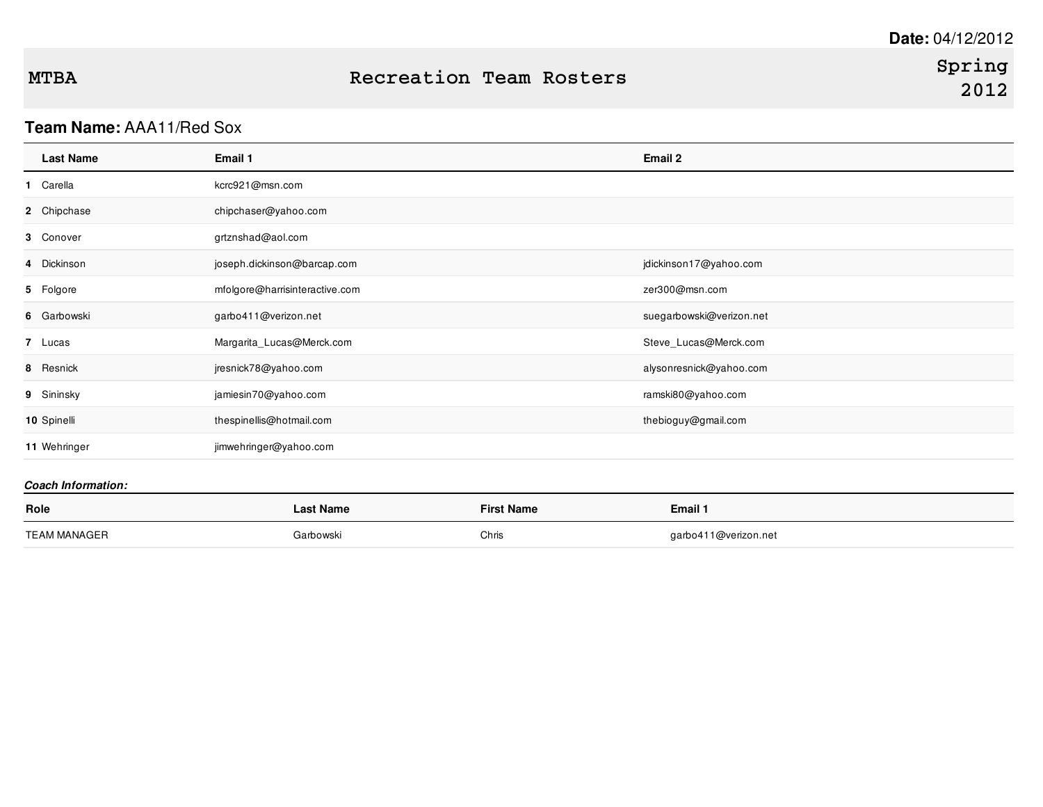### **MTBA Recreation Team Rosters**

### **Team Name:** AAA11/Red Sox

| <b>Last Name</b> | Email 1                        | Email 2                  |
|------------------|--------------------------------|--------------------------|
| 1 Carella        | kcrc921@msn.com                |                          |
| 2 Chipchase      | chipchaser@yahoo.com           |                          |
| 3 Conover        | grtznshad@aol.com              |                          |
| 4 Dickinson      | joseph.dickinson@barcap.com    | jdickinson17@yahoo.com   |
| 5 Folgore        | mfolgore@harrisinteractive.com | zer300@msn.com           |
| 6 Garbowski      | garbo411@verizon.net           | suegarbowski@verizon.net |
| 7 Lucas          | Margarita_Lucas@Merck.com      | Steve_Lucas@Merck.com    |
| 8 Resnick        | jresnick78@yahoo.com           | alysonresnick@yahoo.com  |
| 9 Sininsky       | jamiesin70@yahoo.com           | ramski80@yahoo.com       |
| 10 Spinelli      | thespinellis@hotmail.com       | thebioguy@gmail.com      |
| 11 Wehringer     | jimwehringer@yahoo.com         |                          |

| Role         | Last Name | <b>First Name</b> | Email 1              |
|--------------|-----------|-------------------|----------------------|
| TEAM MANAGER | Garbowski | Chris             | garbo411@verizon.net |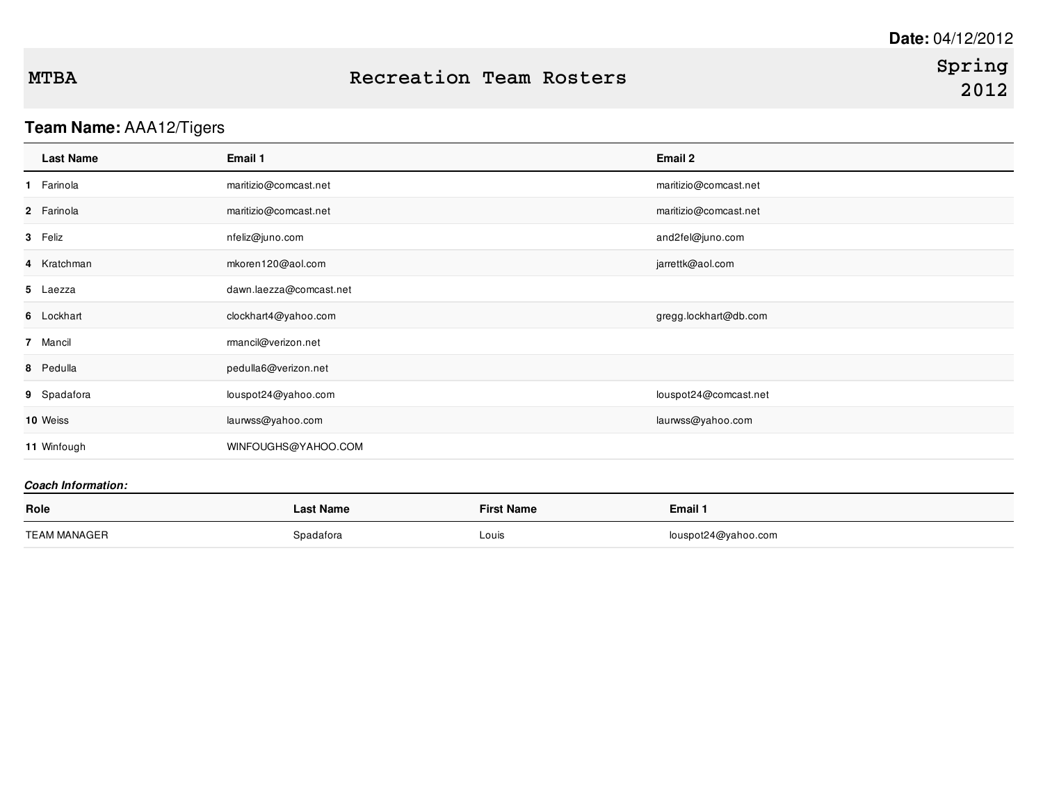## **Team Name:** AAA12/Tigers

| Email 1                 | Email 2               |
|-------------------------|-----------------------|
| maritizio@comcast.net   | maritizio@comcast.net |
| maritizio@comcast.net   | maritizio@comcast.net |
| nfeliz@juno.com         | and2fel@juno.com      |
| mkoren120@aol.com       | jarrettk@aol.com      |
| dawn.laezza@comcast.net |                       |
| clockhart4@yahoo.com    | gregg.lockhart@db.com |
| rmancil@verizon.net     |                       |
| pedulla6@verizon.net    |                       |
| louspot24@yahoo.com     | louspot24@comcast.net |
| laurwss@yahoo.com       | laurwss@yahoo.com     |
| WINFOUGHS@YAHOO.COM     |                       |
|                         |                       |

| Role         | Last Name | <b>First Name</b> | Email 1             |
|--------------|-----------|-------------------|---------------------|
| TEAM MANAGER | Spadafora | Louis             | louspot24@yahoo.com |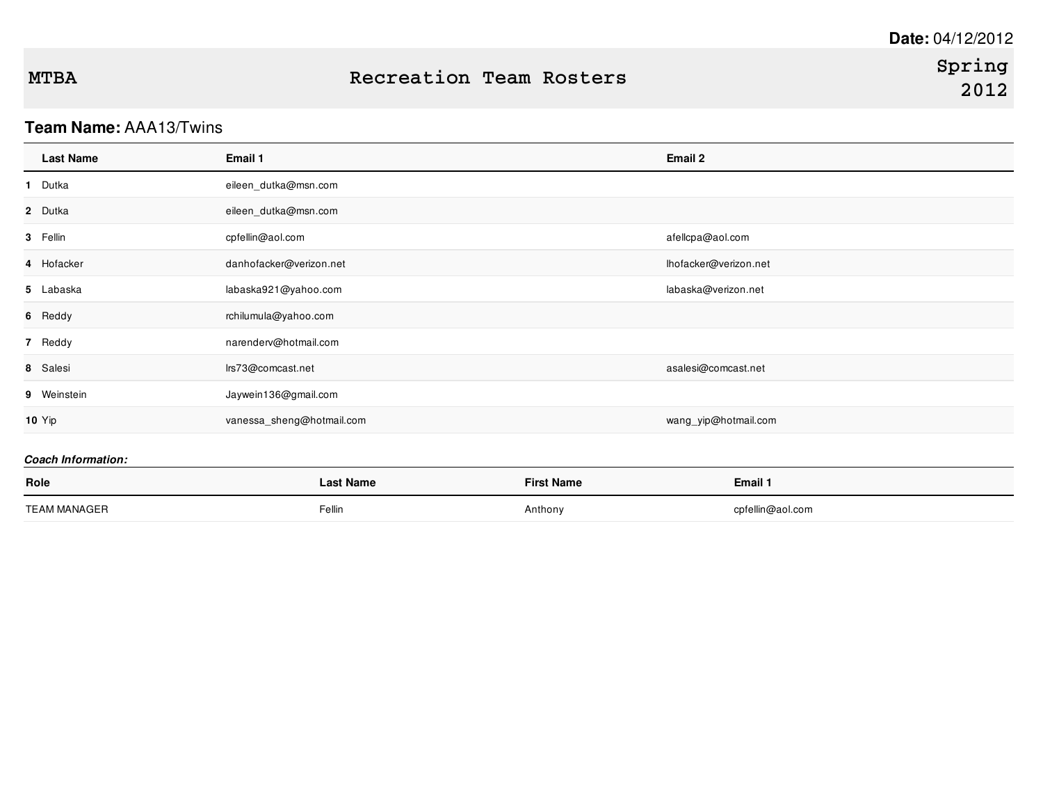### **Team Name:** AAA13/Twins

| <b>Last Name</b>          | Email 1                   |                       | Email 2              |  |  |
|---------------------------|---------------------------|-----------------------|----------------------|--|--|
| 1 Dutka                   | eileen_dutka@msn.com      |                       |                      |  |  |
| 2 Dutka                   | eileen_dutka@msn.com      |                       |                      |  |  |
| 3 Fellin                  | cpfellin@aol.com          | afellcpa@aol.com      |                      |  |  |
| 4 Hofacker                | danhofacker@verizon.net   | lhofacker@verizon.net |                      |  |  |
| 5 Labaska                 | labaska921@yahoo.com      |                       | labaska@verizon.net  |  |  |
| 6 Reddy                   | rchilumula@yahoo.com      |                       |                      |  |  |
| 7 Reddy                   | narenderv@hotmail.com     |                       |                      |  |  |
| 8 Salesi                  | Irs73@comcast.net         |                       | asalesi@comcast.net  |  |  |
| 9 Weinstein               | Jaywein136@gmail.com      |                       |                      |  |  |
| <b>10 Yip</b>             | vanessa_sheng@hotmail.com |                       | wang_yip@hotmail.com |  |  |
| <b>Coach Information:</b> |                           |                       |                      |  |  |
| Role                      | <b>Last Name</b>          | <b>First Name</b>     | Email 1              |  |  |
| <b>TEAM MANAGER</b>       | Fellin                    | Anthony               | cpfellin@aol.com     |  |  |